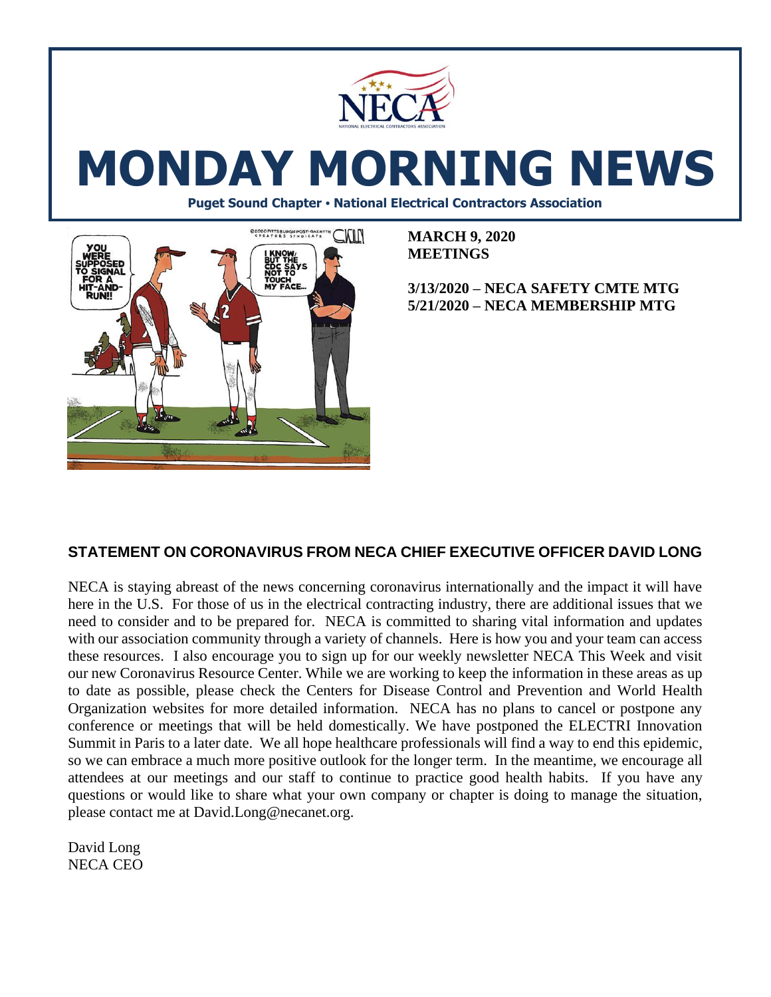

# **MONDAY MORNING NEWS**

**Puget Sound Chapter • National Electrical Contractors Association**



**MARCH 9, 2020 MEETINGS**

#### **3/13/2020 – NECA SAFETY CMTE MTG 5/21/2020 – NECA MEMBERSHIP MTG**

#### **STATEMENT ON CORONAVIRUS FROM NECA CHIEF EXECUTIVE OFFICER DAVID LONG**

NECA is staying abreast of the news concerning coronavirus internationally and the impact it will have here in the U.S. For those of us in the electrical contracting industry, there are additional issues that we need to consider and to be prepared for. NECA is committed to sharing vital information and updates with our association community through a variety of channels. Here is how you and your team can access these resources. I also encourage you to sign up for our weekly newsletter NECA This Week and visit our new Coronavirus Resource Center. While we are working to keep the information in these areas as up to date as possible, please check the Centers for Disease Control and Prevention and World Health Organization websites for more detailed information. NECA has no plans to cancel or postpone any conference or meetings that will be held domestically. We have postponed the ELECTRI Innovation Summit in Paris to a later date. We all hope healthcare professionals will find a way to end this epidemic, so we can embrace a much more positive outlook for the longer term. In the meantime, we encourage all attendees at our meetings and our staff to continue to practice good health habits. If you have any questions or would like to share what your own company or chapter is doing to manage the situation, please contact me at David.Long@necanet.org.

David Long NECA CEO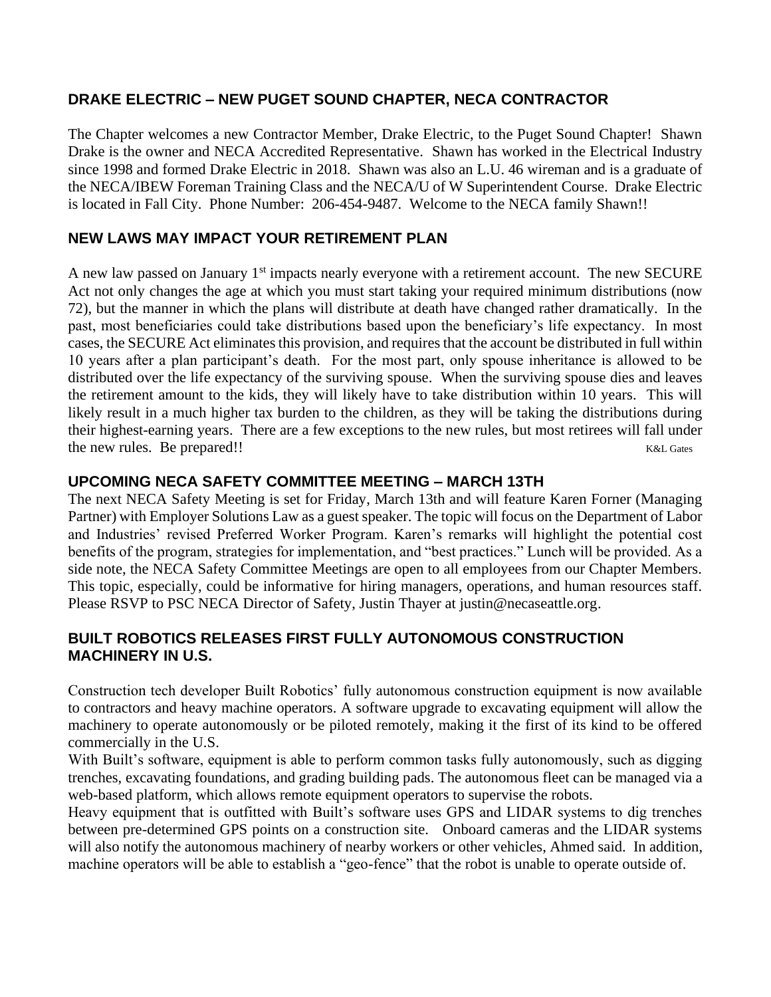# **DRAKE ELECTRIC – NEW PUGET SOUND CHAPTER, NECA CONTRACTOR**

The Chapter welcomes a new Contractor Member, Drake Electric, to the Puget Sound Chapter! Shawn Drake is the owner and NECA Accredited Representative. Shawn has worked in the Electrical Industry since 1998 and formed Drake Electric in 2018. Shawn was also an L.U. 46 wireman and is a graduate of the NECA/IBEW Foreman Training Class and the NECA/U of W Superintendent Course. Drake Electric is located in Fall City. Phone Number: 206-454-9487. Welcome to the NECA family Shawn!!

# **NEW LAWS MAY IMPACT YOUR RETIREMENT PLAN**

A new law passed on January  $1<sup>st</sup>$  impacts nearly everyone with a retirement account. The new SECURE Act not only changes the age at which you must start taking your required minimum distributions (now 72), but the manner in which the plans will distribute at death have changed rather dramatically. In the past, most beneficiaries could take distributions based upon the beneficiary's life expectancy. In most cases, the SECURE Act eliminates this provision, and requires that the account be distributed in full within 10 years after a plan participant's death. For the most part, only spouse inheritance is allowed to be distributed over the life expectancy of the surviving spouse. When the surviving spouse dies and leaves the retirement amount to the kids, they will likely have to take distribution within 10 years. This will likely result in a much higher tax burden to the children, as they will be taking the distributions during their highest-earning years. There are a few exceptions to the new rules, but most retirees will fall under the new rules. Be prepared!! K&L Gates

#### **UPCOMING NECA SAFETY COMMITTEE MEETING – MARCH 13TH**

The next NECA Safety Meeting is set for Friday, March 13th and will feature Karen Forner (Managing Partner) with Employer Solutions Law as a guest speaker. The topic will focus on the Department of Labor and Industries' revised Preferred Worker Program. Karen's remarks will highlight the potential cost benefits of the program, strategies for implementation, and "best practices." Lunch will be provided. As a side note, the NECA Safety Committee Meetings are open to all employees from our Chapter Members. This topic, especially, could be informative for hiring managers, operations, and human resources staff. Please RSVP to PSC NECA Director of Safety, Justin Thayer at justin@necaseattle.org.

# **BUILT ROBOTICS RELEASES FIRST FULLY AUTONOMOUS CONSTRUCTION MACHINERY IN U.S.**

Construction tech developer Built Robotics' fully autonomous construction equipment is now available to contractors and heavy machine operators. A software upgrade to excavating equipment will allow the machinery to operate autonomously or be piloted remotely, making it the first of its kind to be offered commercially in the U.S.

With Built's software, equipment is able to perform common tasks fully autonomously, such as digging trenches, excavating foundations, and grading building pads. The autonomous fleet can be managed via a web-based platform, which allows remote equipment operators to supervise the robots.

Heavy equipment that is outfitted with Built's software uses GPS and LIDAR systems to dig trenches between pre-determined GPS points on a construction site. Onboard cameras and the LIDAR systems will also notify the autonomous machinery of nearby workers or other vehicles, Ahmed said. In addition, machine operators will be able to establish a "geo-fence" that the robot is unable to operate outside of.